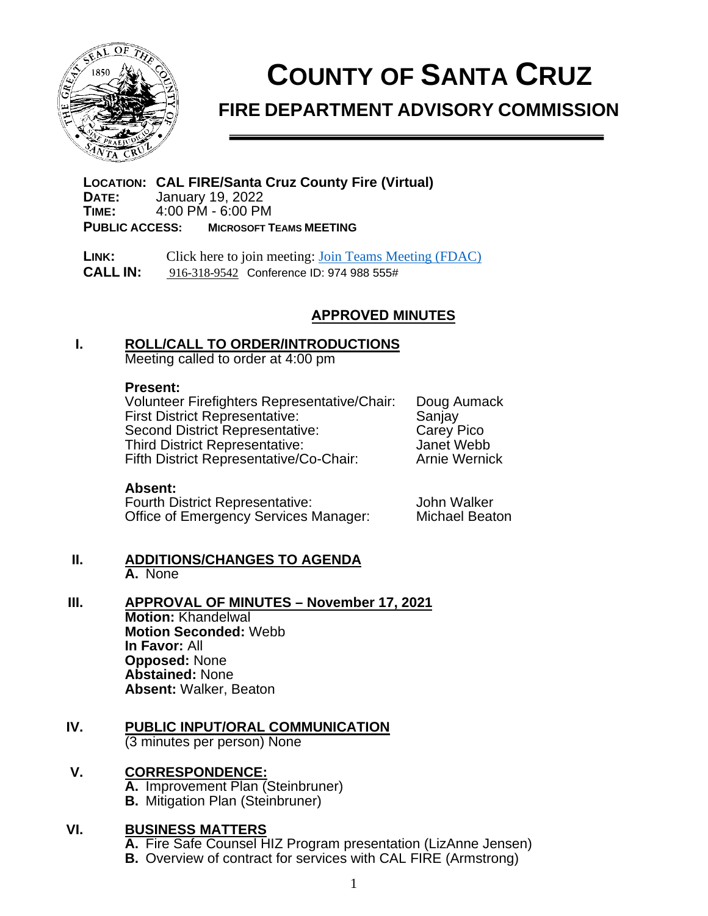

# **COUNTY OF SANTA CRUZ**

# **FIRE DEPARTMENT ADVISORY COMMISSION**

**LOCATION: CAL FIRE/Santa Cruz County Fire (Virtual) DATE:** January 19, 2022<br>**TIME:** 4:00 PM - 6:00 PM **TIME:** 4:00 PM - 6:00 PM **PUBLIC ACCESS: MICROSOFT TEAMS MEETING**

**LINK:** Click here to join meeting: [Join Teams Meeting \(FDAC\)](https://gcc02.safelinks.protection.outlook.com/ap/t-59584e83/?url=https%3A%2F%2Fteams.microsoft.com%2Fl%2Fmeetup-join%2F19%253a404b001113474a6290af08eb78b72254%2540thread.skype%2F1614891702550%3Fcontext%3D%257b%2522Tid%2522%253a%252252044d34-04cb-41a4-a0cd-54ae6eeffb9f%2522%252c%2522Oid%2522%253a%2522dc794d6b-b7db-4621-a950-51c8d2f23d8b%2522%257d&data=04%7C01%7CMelissa.Scalia%40fire.ca.gov%7Cf1b40314a52f4caa3b8c08d8df51062d%7C447a4ca05405454dad68c98a520261f8%7C1%7C0%7C637504886393987393%7CUnknown%7CTWFpbGZsb3d8eyJWIjoiMC4wLjAwMDAiLCJQIjoiV2luMzIiLCJBTiI6Ik1haWwiLCJXVCI6Mn0%3D%7C1000&sdata=7uAvt0psD%2Ffk1Zgy30PSUwBr00apAXDxzSKqxrkSxlQ%3D&reserved=0)  **CALL IN:** [916-318-9542](tel:+1%20916-318-9542,,214539297#%20) Conference ID: 974 988 555#

## **APPROVED MINUTES**

#### **I. ROLL/CALL TO ORDER/INTRODUCTIONS**

Meeting called to order at 4:00 pm

#### **Present:**

Volunteer Firefighters Representative/Chair: Doug Aumack First District Representative: Sanjay<br>Second District Representative: Carev Pico Second District Representative: Carey Pico<br>
Third District Representative: Sanet Webb Third District Representative: Janet Webb<br>Fifth District Representative/Co-Chair: Arnie Wernick Fifth District Representative/Co-Chair:

#### **Absent:**

Fourth District Representative: John Walker<br>Office of Emergency Services Manager: Michael Beaton Office of Emergency Services Manager:

#### **II. ADDITIONS/CHANGES TO AGENDA A.** None

#### **III. APPROVAL OF MINUTES – November 17, 2021 Motion:** Khandelwal **Motion Seconded:** Webb **In Favor:** All **Opposed:** None **Abstained:** None

**Absent:** Walker, Beaton

# **IV. PUBLIC INPUT/ORAL COMMUNICATION**

(3 minutes per person) None

# **V. CORRESPONDENCE:**

**A.** Improvement Plan (Steinbruner) **B.** Mitigation Plan (Steinbruner)

### **VI. BUSINESS MATTERS**

**A.** Fire Safe Counsel HIZ Program presentation (LizAnne Jensen)

**B.** Overview of contract for services with CAL FIRE (Armstrong)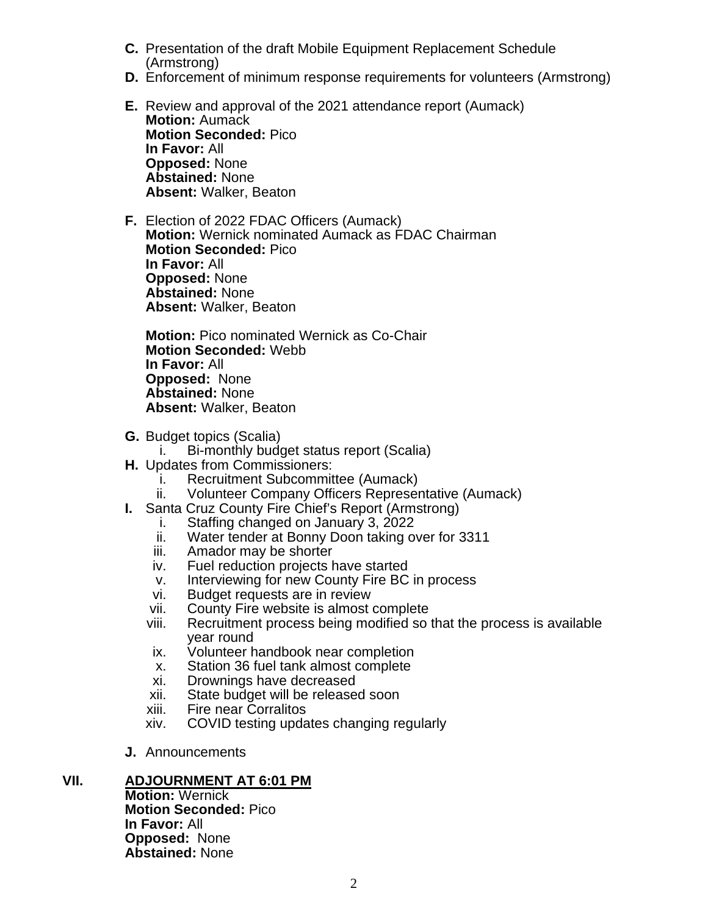- **C.** Presentation of the draft Mobile Equipment Replacement Schedule (Armstrong)
- **D.** Enforcement of minimum response requirements for volunteers (Armstrong)
- **E.** Review and approval of the 2021 attendance report (Aumack) **Motion:** Aumack **Motion Seconded:** Pico **In Favor:** All **Opposed:** None **Abstained:** None **Absent:** Walker, Beaton
- **F.** Election of 2022 FDAC Officers (Aumack) **Motion:** Wernick nominated Aumack as FDAC Chairman **Motion Seconded:** Pico **In Favor:** All **Opposed:** None **Abstained:** None **Absent:** Walker, Beaton

**Motion:** Pico nominated Wernick as Co-Chair **Motion Seconded:** Webb **In Favor:** All **Opposed:** None **Abstained:** None **Absent:** Walker, Beaton

- **G.** Budget topics (Scalia)
	- i. Bi-monthly budget status report (Scalia)
- **H.** Updates from Commissioners:
	- i. Recruitment Subcommittee (Aumack)
	- ii. Volunteer Company Officers Representative (Aumack)
- **I.** Santa Cruz County Fire Chief's Report (Armstrong)
	- i. Staffing changed on January 3, 2022
	- ii. Water tender at Bonny Doon taking over for 3311
	- iii. Amador may be shorter
	- iv. Fuel reduction projects have started
	- v. Interviewing for new County Fire BC in process
	- vi. Budget requests are in review
	- vii. County Fire website is almost complete<br>viii. Recruitment process being modified so
	- Recruitment process being modified so that the process is available year round
	- ix. Volunteer handbook near completion
	- x. Station 36 fuel tank almost complete
	- xi. Drownings have decreased
	- xii. State budget will be released soon
	- xiii. Fire near Corralitos<br>xiv. COVID testing upda
	- COVID testing updates changing regularly
- **J.** Announcements

## **VII. ADJOURNMENT AT 6:01 PM**

**Motion:** Wernick **Motion Seconded:** Pico **In Favor:** All **Opposed:** None **Abstained:** None